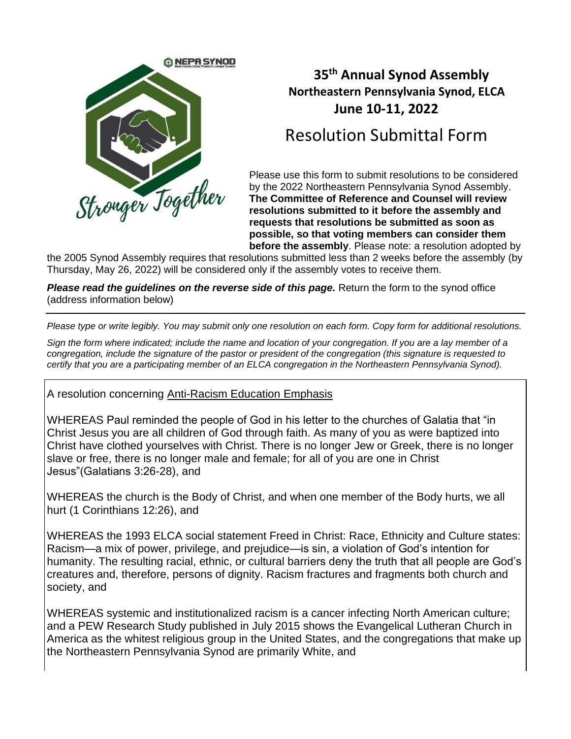

## **35 th Annual Synod Assembly Northeastern Pennsylvania Synod, ELCA June 10-11, 2022**

## Resolution Submittal Form

Please use this form to submit resolutions to be considered by the 2022 Northeastern Pennsylvania Synod Assembly. **The Committee of Reference and Counsel will review resolutions submitted to it before the assembly and requests that resolutions be submitted as soon as possible, so that voting members can consider them before the assembly**. Please note: a resolution adopted by

the 2005 Synod Assembly requires that resolutions submitted less than 2 weeks before the assembly (by Thursday, May 26, 2022) will be considered only if the assembly votes to receive them.

*Please read the guidelines on the reverse side of this page.* Return the form to the synod office (address information below)

*Please type or write legibly. You may submit only one resolution on each form. Copy form for additional resolutions.* 

*Sign the form where indicated; include the name and location of your congregation. If you are a lay member of a congregation, include the signature of the pastor or president of the congregation (this signature is requested to certify that you are a participating member of an ELCA congregation in the Northeastern Pennsylvania Synod).*

A resolution concerning Anti-Racism Education Emphasis

WHEREAS Paul reminded the people of God in his letter to the churches of Galatia that "in Christ Jesus you are all children of God through faith. As many of you as were baptized into Christ have clothed yourselves with Christ. There is no longer Jew or Greek, there is no longer slave or free, there is no longer male and female; for all of you are one in Christ Jesus"(Galatians 3:26-28), and

WHEREAS the church is the Body of Christ, and when one member of the Body hurts, we all hurt (1 Corinthians 12:26), and

WHEREAS the 1993 ELCA social statement Freed in Christ: Race, Ethnicity and Culture states: Racism—a mix of power, privilege, and prejudice—is sin, a violation of God's intention for humanity. The resulting racial, ethnic, or cultural barriers deny the truth that all people are God's creatures and, therefore, persons of dignity. Racism fractures and fragments both church and society, and

WHEREAS systemic and institutionalized racism is a cancer infecting North American culture; and a PEW Research Study published in July 2015 shows the Evangelical Lutheran Church in America as the whitest religious group in the United States, and the congregations that make up the Northeastern Pennsylvania Synod are primarily White, and